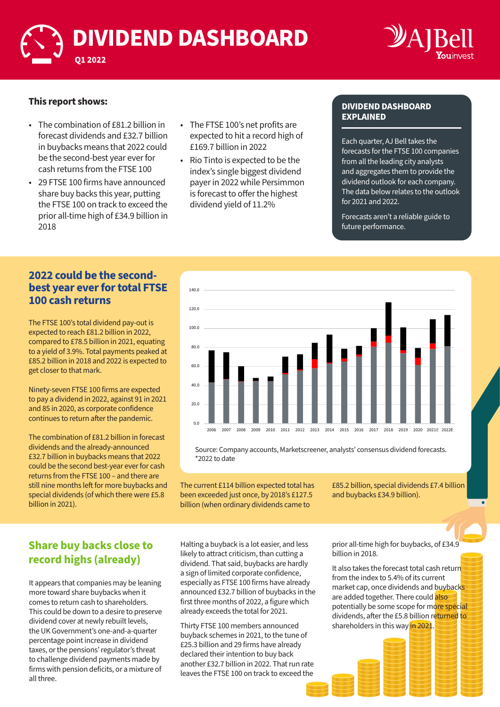



#### **This report shows:**

- The combination of £81.2 billion in forecast dividends and £32.7 billion in buybacks means that 2022 could be the second-best year ever for cash returns from the FTSE 100
- 29 FTSE 100 firms have announced share buy backs this year, putting the FTSE 100 on track to exceed the prior all-time high of £34.9 billion in 2018
- The FTSE 100's net profits are expected to hit a record high of £169.7 billion in 2022
- Rio Tinto is expected to be the index's single biggest dividend payer in 2022 while Persimmon is forecast to offer the highest dividend yield of 11.2%

#### **DIVIDEND DASHBOARD EXPLAINED**

Each quarter, AJ Bell takes the forecasts for the FTSE 100 companies from all the leading city analysts and aggregates them to provide the dividend outlook for each company. The data below relates to the outlook for 2021 and 2022.

Forecasts aren't a reliable guide to future performance.

#### **2022 could be the secondbest year ever for total FTSE 100 cash returns**

The FTSE 100's total dividend pay-out is expected to reach £81.2 billion in 2022, compared to £78.5 billion in 2021, equating to a yield of 3.9%. Total payments peaked at £85.2 billion in 2018 and 2022 is expected to get closer to that mark.

Ninety-seven FTSE 100 firms are expected to pay a dividend in 2022, against 91 in 2021 and 85 in 2020, as corporate confidence continues to return after the pandemic.

The combination of £81.2 billion in forecast dividends and the already-announced £32.7 billion in buybacks means that 2022 could be the second best-year ever for cash returns from the FTSE 100 – and there are still nine months left for more buybacks and special dividends (of which there were £5.8 billion in 2021).



Source: Company accounts, Marketscreener, analysts' consensus dividend forecasts. \*2022 to date

The current £114 billion expected total has been exceeded just once, by 2018's £127.5 billion (when ordinary dividends came to

£85.2 billion, special dividends £7.4 billion and buybacks £34.9 billion).

#### **Share buy backs close to record highs (already)**

It appears that companies may be leaning more toward share buybacks when it comes to return cash to shareholders. This could be down to a desire to preserve dividend cover at newly rebuilt levels, the UK Government's one-and-a-quarter percentage point increase in dividend taxes, or the pensions' regulator's threat to challenge dividend payments made by firms with pension deficits, or a mixture of all three.

Halting a buyback is a lot easier, and less likely to attract criticism, than cutting a dividend. That said, buybacks are hardly a sign of limited corporate confidence, especially as FTSE 100 firms have already announced £32.7 billion of buybacks in the first three months of 2022, a figure which already exceeds the total for 2021.

Thirty FTSE 100 members announced buyback schemes in 2021, to the tune of £25.3 billion and 29 firms have already declared their intention to buy back another £32.7 billion in 2022. That run rate leaves the FTSE 100 on track to exceed the

prior all-time high for buybacks, of £34.9 billion in 2018.

It also takes the forecast total cash return from the index to 5.4% of its current market cap, once dividends and buybacks are added together. There could also potentially be some scope for more special dividends, after the £5.8 billion returned to shareholders in this way in 2021.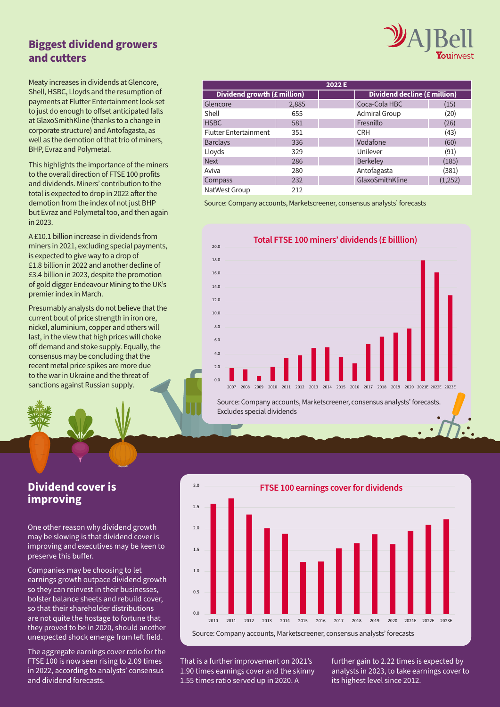# **Biggest dividend growers and cutters**

Meaty increases in dividends at Glencore, Shell, HSBC, Lloyds and the resumption of payments at Flutter Entertainment look set to just do enough to offset anticipated falls at GlaxoSmithKline (thanks to a change in corporate structure) and Antofagasta, as well as the demotion of that trio of miners, BHP, Evraz and Polymetal.

This highlights the importance of the miners to the overall direction of FTSE 100 profits and dividends. Miners' contribution to the total is expected to drop in 2022 after the demotion from the index of not just BHP but Evraz and Polymetal too, and then again in 2023.

A £10.1 billion increase in dividends from miners in 2021, excluding special payments, is expected to give way to a drop of £1.8 billion in 2022 and another decline of £3.4 billion in 2023, despite the promotion of gold digger Endeavour Mining to the UK's premier index in March.

Presumably analysts do not believe that the current bout of price strength in iron ore, nickel, aluminium, copper and others will last, in the view that high prices will choke off demand and stoke supply. Equally, the consensus may be concluding that the recent metal price spikes are more due to the war in Ukraine and the threat of sanctions against Russian supply.

| 2022 E                       |       |  |                              |         |  |
|------------------------------|-------|--|------------------------------|---------|--|
| Dividend growth (£ million)  |       |  | Dividend decline (£ million) |         |  |
| Glencore                     | 2,885 |  | Coca-Cola HBC                | (15)    |  |
| Shell                        | 655   |  | <b>Admiral Group</b>         | (20)    |  |
| <b>HSBC</b>                  | 581   |  | Fresnillo                    | (26)    |  |
| <b>Flutter Entertainment</b> | 351   |  | <b>CRH</b>                   | (43)    |  |
| <b>Barclays</b>              | 336   |  | Vodafone                     | (60)    |  |
| Lloyds                       | 329   |  | Unilever                     | (91)    |  |
| <b>Next</b>                  | 286   |  | Berkeley                     | (185)   |  |
| Aviva                        | 280   |  | Antofagasta                  | (381)   |  |
| Compass                      | 232   |  | GlaxoSmithKline              | (1,252) |  |
| NatWest Group                | 212   |  |                              |         |  |

Source: Company accounts, Marketscreener, consensus analysts' forecasts



Source: Company accounts, Marketscreener, consensus analysts' forecasts. Excludes special dividends

#### **Dividend cover is improving**

One other reason why dividend growth may be slowing is that dividend cover is improving and executives may be keen to preserve this buffer.

Companies may be choosing to let earnings growth outpace dividend growth so they can reinvest in their businesses, bolster balance sheets and rebuild cover, so that their shareholder distributions are not quite the hostage to fortune that they proved to be in 2020, should another unexpected shock emerge from left field.

The aggregate earnings cover ratio for the FTSE 100 is now seen rising to 2.09 times in 2022, according to analysts' consensus and dividend forecasts.



That is a further improvement on 2021's 1.90 times earnings cover and the skinny 1.55 times ratio served up in 2020. A

further gain to 2.22 times is expected by analysts in 2023, to take earnings cover to its highest level since 2012.

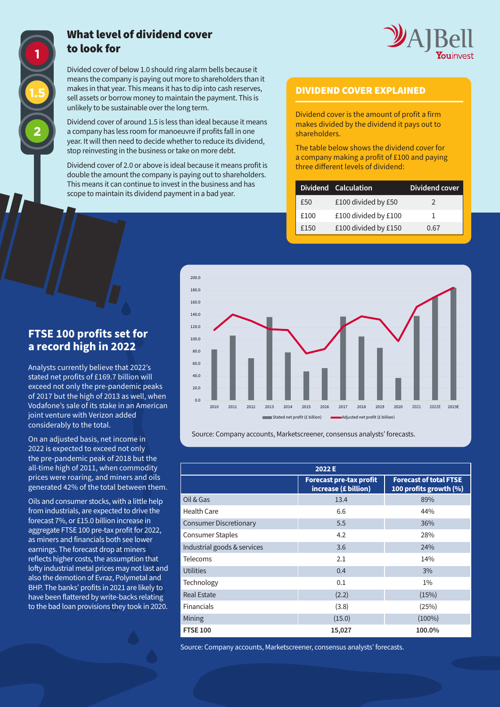

#### What level of dividend cover to look for

Divided cover of below 1.0 should ring alarm bells because it means the company is paying out more to shareholders than it makes in that year. This means it has to dip into cash reserves, sell assets or borrow money to maintain the payment. This is unlikely to be sustainable over the long term.

Dividend cover of around 1.5 is less than ideal because it means a company has less room for manoeuvre if profits fall in one year. It will then need to decide whether to reduce its dividend, stop reinvesting in the business or take on more debt.

Dividend cover of 2.0 or above is ideal because it means profit is double the amount the company is paying out to shareholders. This means it can continue to invest in the business and has scope to maintain its dividend payment in a bad year.

#### DIVIDEND COVER EXPLAINED

Dividend cover is the amount of profit a firm makes divided by the dividend it pays out to shareholders.

The table below shows the dividend cover for a company making a profit of £100 and paying three different levels of dividend:

|      | Dividend Calculation | Dividend cover |
|------|----------------------|----------------|
| £50  | £100 divided by £50  | 2              |
| £100 | £100 divided by £100 |                |
| £150 | £100 divided by £150 | 0.67           |



Source: Company accounts, Marketscreener, consensus analysts' forecasts.

| 2022 E                        |                                                        |                                                         |  |
|-------------------------------|--------------------------------------------------------|---------------------------------------------------------|--|
|                               | <b>Forecast pre-tax profit</b><br>increase (£ billion) | <b>Forecast of total FTSE</b><br>100 profits growth (%) |  |
| Oil & Gas                     | 13.4                                                   | 89%                                                     |  |
| Health Care                   | 6.6                                                    | 44%                                                     |  |
| <b>Consumer Discretionary</b> | 5.5                                                    | 36%                                                     |  |
| <b>Consumer Staples</b>       | 4.2                                                    | 28%                                                     |  |
| Industrial goods & services   | 3.6                                                    | 24%                                                     |  |
| <b>Telecoms</b>               | 2.1                                                    | 14%                                                     |  |
| <b>Utilities</b>              | 0.4                                                    | 3%                                                      |  |
| Technology                    | 0.1                                                    | $1\%$                                                   |  |
| <b>Real Estate</b>            | (2.2)                                                  | (15%)                                                   |  |
| Financials                    | (3.8)                                                  | (25%)                                                   |  |
| <b>Mining</b>                 | (15.0)                                                 | $(100\%)$                                               |  |
| <b>FTSE 100</b>               | 15,027                                                 | 100.0%                                                  |  |

Source: Company accounts, Marketscreener, consensus analysts' forecasts.

## **FTSE 100 profits set for a record high in 2022**

Analysts currently believe that 2022's stated net profits of £169.7 billion will exceed not only the pre-pandemic peaks of 2017 but the high of 2013 as well, when Vodafone's sale of its stake in an American joint venture with Verizon added considerably to the total.

On an adjusted basis, net income in 2022 is expected to exceed not only the pre-pandemic peak of 2018 but the all-time high of 2011, when commodity prices were roaring, and miners and oils generated 42% of the total between them.

Oils and consumer stocks, with a little help from industrials, are expected to drive the forecast 7%, or £15.0 billion increase in aggregate FTSE 100 pre-tax profit for 2022, as miners and financials both see lower earnings. The forecast drop at miners reflects higher costs, the assumption that lofty industrial metal prices may not last and also the demotion of Evraz, Polymetal and BHP. The banks' profits in 2021 are likely to have been flattered by write-backs relating to the bad loan provisions they took in 2020.